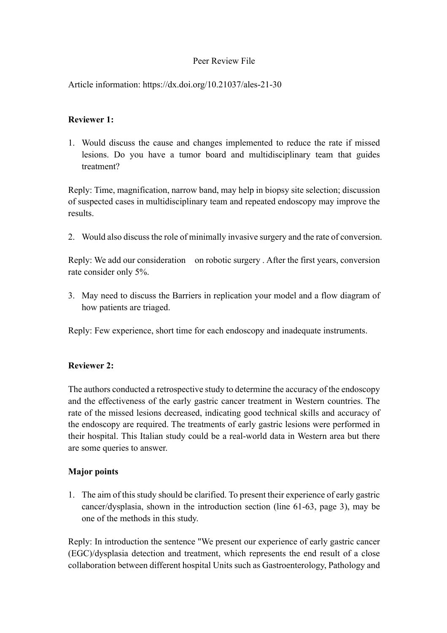## Peer Review File

Article information: https://dx.doi.org/10.21037/ales-21-30

## **Reviewer 1:**

1. Would discuss the cause and changes implemented to reduce the rate if missed lesions. Do you have a tumor board and multidisciplinary team that guides treatment?

Reply: Time, magnification, narrow band, may help in biopsy site selection; discussion of suspected cases in multidisciplinary team and repeated endoscopy may improve the results.

2. Would also discuss the role of minimally invasive surgery and the rate of conversion.

Reply: We add our consideration on robotic surgery . After the first years, conversion rate consider only 5%.

3. May need to discuss the Barriers in replication your model and a flow diagram of how patients are triaged.

Reply: Few experience, short time for each endoscopy and inadequate instruments.

#### **Reviewer 2:**

The authors conducted a retrospective study to determine the accuracy of the endoscopy and the effectiveness of the early gastric cancer treatment in Western countries. The rate of the missed lesions decreased, indicating good technical skills and accuracy of the endoscopy are required. The treatments of early gastric lesions were performed in their hospital. This Italian study could be a real-world data in Western area but there are some queries to answer.

#### **Major points**

1. The aim of this study should be clarified. To present their experience of early gastric cancer/dysplasia, shown in the introduction section (line 61-63, page 3), may be one of the methods in this study.

Reply: In introduction the sentence "We present our experience of early gastric cancer (EGC)/dysplasia detection and treatment, which represents the end result of a close collaboration between different hospital Units such as Gastroenterology, Pathology and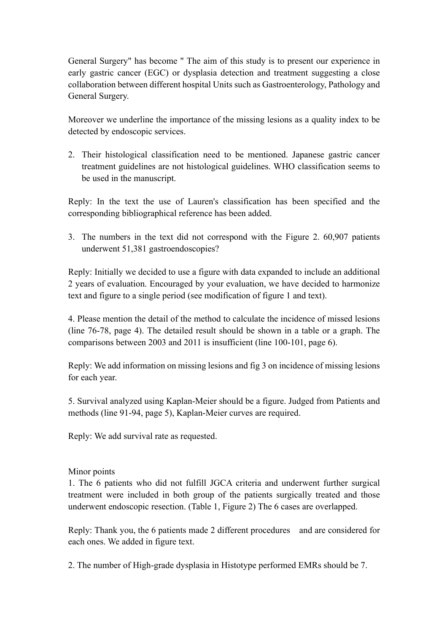General Surgery" has become " The aim of this study is to present our experience in early gastric cancer (EGC) or dysplasia detection and treatment suggesting a close collaboration between different hospital Units such as Gastroenterology, Pathology and General Surgery.

Moreover we underline the importance of the missing lesions as a quality index to be detected by endoscopic services.

2. Their histological classification need to be mentioned. Japanese gastric cancer treatment guidelines are not histological guidelines. WHO classification seems to be used in the manuscript.

Reply: In the text the use of Lauren's classification has been specified and the corresponding bibliographical reference has been added.

3. The numbers in the text did not correspond with the Figure 2. 60,907 patients underwent 51,381 gastroendoscopies?

Reply: Initially we decided to use a figure with data expanded to include an additional 2 years of evaluation. Encouraged by your evaluation, we have decided to harmonize text and figure to a single period (see modification of figure 1 and text).

4. Please mention the detail of the method to calculate the incidence of missed lesions (line 76-78, page 4). The detailed result should be shown in a table or a graph. The comparisons between 2003 and 2011 is insufficient (line 100-101, page 6).

Reply: We add information on missing lesions and fig 3 on incidence of missing lesions for each year.

5. Survival analyzed using Kaplan-Meier should be a figure. Judged from Patients and methods (line 91-94, page 5), Kaplan-Meier curves are required.

Reply: We add survival rate as requested.

# Minor points

1. The 6 patients who did not fulfill JGCA criteria and underwent further surgical treatment were included in both group of the patients surgically treated and those underwent endoscopic resection. (Table 1, Figure 2) The 6 cases are overlapped.

Reply: Thank you, the 6 patients made 2 different procedures and are considered for each ones. We added in figure text.

2. The number of High-grade dysplasia in Histotype performed EMRs should be 7.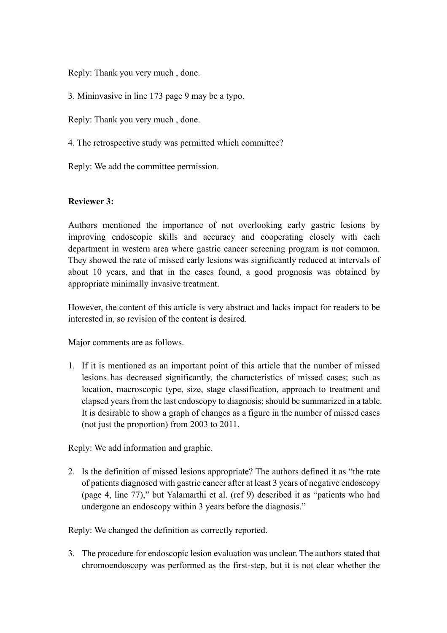Reply: Thank you very much , done.

3. Mininvasive in line 173 page 9 may be a typo.

Reply: Thank you very much , done.

4. The retrospective study was permitted which committee?

Reply: We add the committee permission.

## **Reviewer 3:**

Authors mentioned the importance of not overlooking early gastric lesions by improving endoscopic skills and accuracy and cooperating closely with each department in western area where gastric cancer screening program is not common. They showed the rate of missed early lesions was significantly reduced at intervals of about 10 years, and that in the cases found, a good prognosis was obtained by appropriate minimally invasive treatment.

However, the content of this article is very abstract and lacks impact for readers to be interested in, so revision of the content is desired.

Major comments are as follows.

1. If it is mentioned as an important point of this article that the number of missed lesions has decreased significantly, the characteristics of missed cases; such as location, macroscopic type, size, stage classification, approach to treatment and elapsed years from the last endoscopy to diagnosis; should be summarized in a table. It is desirable to show a graph of changes as a figure in the number of missed cases (not just the proportion) from 2003 to 2011.

Reply: We add information and graphic.

2. Is the definition of missed lesions appropriate? The authors defined it as "the rate of patients diagnosed with gastric cancer after at least 3 years of negative endoscopy (page 4, line 77)," but Yalamarthi et al. (ref 9) described it as "patients who had undergone an endoscopy within 3 years before the diagnosis."

Reply: We changed the definition as correctly reported.

3. The procedure for endoscopic lesion evaluation was unclear. The authors stated that chromoendoscopy was performed as the first-step, but it is not clear whether the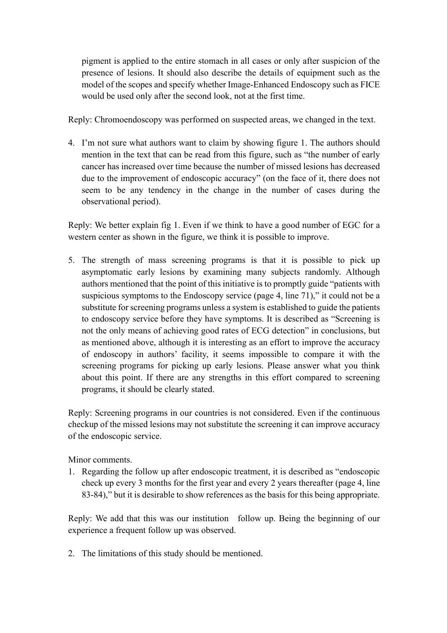pigment is applied to the entire stomach in all cases or only after suspicion of the presence of lesions. It should also describe the details of equipment such as the model of the scopes and specify whether Image-Enhanced Endoscopy such as FICE would be used only after the second look, not at the first time.

Reply: Chromoendoscopy was performed on suspected areas, we changed in the text.

4. I'm not sure what authors want to claim by showing figure 1. The authors should mention in the text that can be read from this figure, such as "the number of early cancer has increased over time because the number of missed lesions has decreased due to the improvement of endoscopic accuracy" (on the face of it, there does not seem to be any tendency in the change in the number of cases during the observational period).

Reply: We better explain fig 1. Even if we think to have a good number of EGC for a western center as shown in the figure, we think it is possible to improve.

5. The strength of mass screening programs is that it is possible to pick up asymptomatic early lesions by examining many subjects randomly. Although authors mentioned that the point of this initiative is to promptly guide "patients with suspicious symptoms to the Endoscopy service (page 4, line 71)," it could not be a substitute for screening programs unless a system is established to guide the patients to endoscopy service before they have symptoms. It is described as "Screening is not the only means of achieving good rates of ECG detection" in conclusions, but as mentioned above, although it is interesting as an effort to improve the accuracy of endoscopy in authors' facility, it seems impossible to compare it with the screening programs for picking up early lesions. Please answer what you think about this point. If there are any strengths in this effort compared to screening programs, it should be clearly stated.

Reply: Screening programs in our countries is not considered. Even if the continuous checkup of the missed lesions may not substitute the screening it can improve accuracy of the endoscopic service.

Minor comments.

1. Regarding the follow up after endoscopic treatment, it is described as "endoscopic check up every 3 months for the first year and every 2 years thereafter (page 4, line 83-84)," but it is desirable to show references as the basis for this being appropriate.

Reply: We add that this was our institution follow up. Being the beginning of our experience a frequent follow up was observed.

2. The limitations of this study should be mentioned.